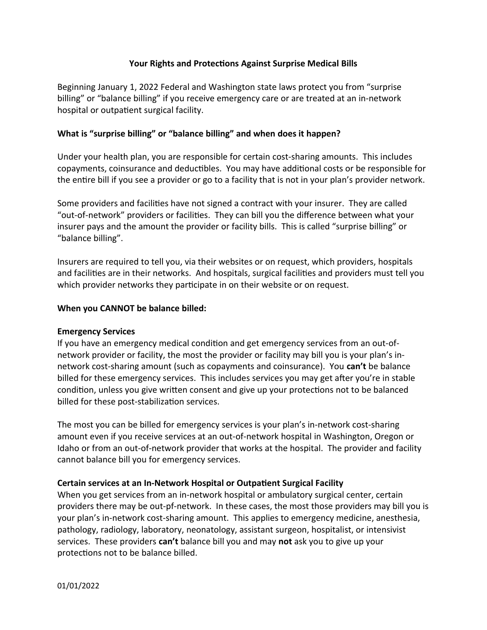# **Your Rights and Protections Against Surprise Medical Bills**

Beginning January 1, 2022 Federal and Washington state laws protect you from "surprise billing" or "balance billing" if you receive emergency care or are treated at an in-network hospital or outpatient surgical facility.

# **What is "surprise billing" or "balance billing" and when does it happen?**

Under your health plan, you are responsible for certain cost-sharing amounts. This includes copayments, coinsurance and deductibles. You may have additional costs or be responsible for the entire bill if you see a provider or go to a facility that is not in your plan's provider network.

Some providers and facilities have not signed a contract with your insurer. They are called "out-of-network" providers or facilities. They can bill you the difference between what your insurer pays and the amount the provider or facility bills. This is called "surprise billing" or "balance billing".

Insurers are required to tell you, via their websites or on request, which providers, hospitals and facilities are in their networks. And hospitals, surgical facilities and providers must tell you which provider networks they participate in on their website or on request.

### **When you CANNOT be balance billed:**

### **Emergency Services**

If you have an emergency medical condition and get emergency services from an out-ofnetwork provider or facility, the most the provider or facility may bill you is your plan's innetwork cost-sharing amount (such as copayments and coinsurance). You **can't** be balance billed for these emergency services. This includes services you may get after you're in stable condition, unless you give written consent and give up your protections not to be balanced billed for these post-stabilization services.

The most you can be billed for emergency services is your plan's in-network cost-sharing amount even if you receive services at an out-of-network hospital in Washington, Oregon or Idaho or from an out-of-network provider that works at the hospital. The provider and facility cannot balance bill you for emergency services.

### **Certain services at an In-Network Hospital or Outpatient Surgical Facility**

When you get services from an in-network hospital or ambulatory surgical center, certain providers there may be out-pf-network. In these cases, the most those providers may bill you is your plan's in-network cost-sharing amount. This applies to emergency medicine, anesthesia, pathology, radiology, laboratory, neonatology, assistant surgeon, hospitalist, or intensivist services. These providers **can't** balance bill you and may **not** ask you to give up your protections not to be balance billed.